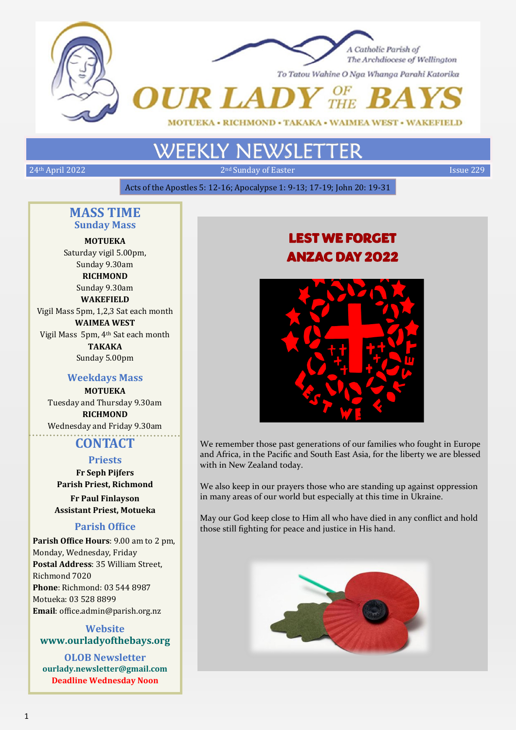



To Tatou Wahine O Nga Whanga Parahi Katorika

UR LADY OF BA

#### MOTUEKA • RICHMOND • TAKAKA • WAIMEA WEST • WAKEFIELD

#### **WEEKLY NEWSI**

24<sup>th</sup> April 2022 2012 2nd Sunday of Easter Issue 229

Acts of the Apostles 5: 12-16; Apocalypse 1: 9-13; 17-19; John 20: 19-31

# **MASS TIME Sunday Mass**

**MOTUEKA**  Saturday vigil 5.00pm, Sunday 9.30am **RICHMOND** Sunday 9.30am **WAKEFIELD** Vigil Mass 5pm, 1,2,3 Sat each month

**WAIMEA WEST** Vigil Mass 5pm, 4th Sat each month **TAKAKA**

Sunday 5.00pm

#### **Weekdays Mass**

**MOTUEKA** Tuesday and Thursday 9.30am **RICHMOND** Wednesday and Friday 9.30am

# **CONTACT**

#### **Priests**

**Fr Seph Pijfers Parish Priest, Richmond**

**Fr Paul Finlayson Assistant Priest, Motueka**

### **Parish Office**

**Parish Office Hours**: 9.00 am to 2 pm, Monday, Wednesday, Friday **Postal Address**: 35 William Street, Richmond 7020 **Phone**: Richmond: 03 544 8987 Motueka: 03 528 8899 **Email**: office.admin@parish.org.nz

#### **Website www.ourladyofthebays.org**

**OLOB Newsletter ourlady.newsletter@gmail.com Deadline Wednesday Noon**

# LEST WE FORGET ANZAC DAY 2022



We remember those past generations of our families who fought in Europe and Africa, in the Pacific and South East Asia, for the liberty we are blessed with in New Zealand today.

We also keep in our prayers those who are standing up against oppression in many areas of our world but especially at this time in Ukraine.

May our God keep close to Him all who have died in any conflict and hold those still fighting for peace and justice in His hand.

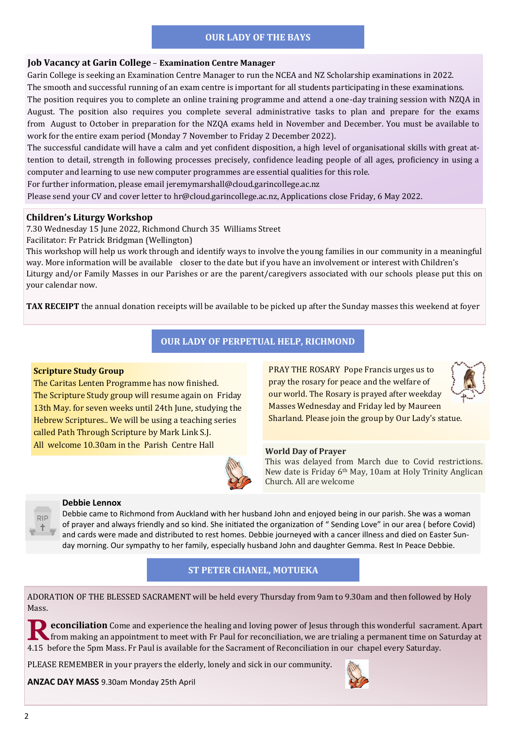#### **OUR LADY OF THE BAYS**

#### **Job Vacancy at Garin College** – **Examination Centre Manager**

Garin College is seeking an Examination Centre Manager to run the NCEA and NZ Scholarship examinations in 2022.

The smooth and successful running of an exam centre is important for all students participating in these examinations.

The position requires you to complete an online training programme and attend a one-day training session with NZQA in August. The position also requires you complete several administrative tasks to plan and prepare for the exams from August to October in preparation for the NZQA exams held in November and December. You must be available to work for the entire exam period (Monday 7 November to Friday 2 December 2022).

The successful candidate will have a calm and yet confident disposition, a high level of organisational skills with great attention to detail, strength in following processes precisely, confidence leading people of all ages, proficiency in using a computer and learning to use new computer programmes are essential qualities for this role.

For further information, please email [jeremymarshall@cloud.garincollege.ac.nz](mailto:jeremymarshall@cloud.garincollege.ac.nz)

Please send your CV and cover letter to [hr@cloud.garincollege.ac.nz,](mailto:hr@cloud.garincollege.ac.nz) Applications close Friday, 6 May 2022.

#### **Children's Liturgy Workshop**

7.30 Wednesday 15 June 2022, Richmond Church 35 Williams Street

Facilitator: Fr Patrick Bridgman (Wellington)

This workshop will help us work through and identify ways to involve the young families in our community in a meaningful way. More information will be available closer to the date but if you have an involvement or interest with Children's Liturgy and/or Family Masses in our Parishes or are the parent/caregivers associated with our schools please put this on your calendar now.

**TAX RECEIPT** the annual donation receipts will be available to be picked up after the Sunday masses this weekend at foyer

# **OUR LADY OF PERPETUAL HELP, RICHMOND**

#### **Scripture Study Group**

The Caritas Lenten Programme has now finished. The Scripture Study group will resume again on Friday 13th May. for seven weeks until 24th June, studying the Hebrew Scriptures.. We will be using a teaching series called Path Through Scripture by Mark Link S.J. All welcome 10.30am in the Parish Centre Hall

PRAY THE ROSARY Pope Francis urges us to pray the rosary for peace and the welfare of our world. The Rosary is prayed after weekday Masses Wednesday and Friday led by Maureen Sharland. Please join the group by Our Lady's statue.

This was delayed from March due to Covid restrictions. New date is Friday 6th May, 10am at Holy Trinity Anglican





# **Debbie Lennox**

**RIP** 

Debbie came to Richmond from Auckland with her husband John and enjoyed being in our parish. She was a woman of prayer and always friendly and so kind. She initiated the organization of " Sending Love" in our area ( before Covid) and cards were made and distributed to rest homes. Debbie journeyed with a cancer illness and died on Easter Sunday morning. Our sympathy to her family, especially husband John and daughter Gemma. Rest In Peace Debbie.

**World Day of Prayer**

Church. All are welcome

#### **ST PETER CHANEL, MOTUEKA**

ADORATION OF THE BLESSED SACRAMENT will be held every Thursday from 9am to 9.30am and then followed by Holy Mass.

**R** econciliation Come and experience the healing and loving power of Jesus through this wonderful sacrament. Apart<br>from making an appointment to meet with Fr Paul for reconciliation, we are trialing a permanent time on Sa **experience** the healing and loving power of Jesus through this wonderful sacrament. Apart 4.15 before the 5pm Mass. Fr Paul is available for the Sacrament of Reconciliation in our chapel every Saturday.

PLEASE REMEMBER in your prayers the elderly, lonely and sick in our community.